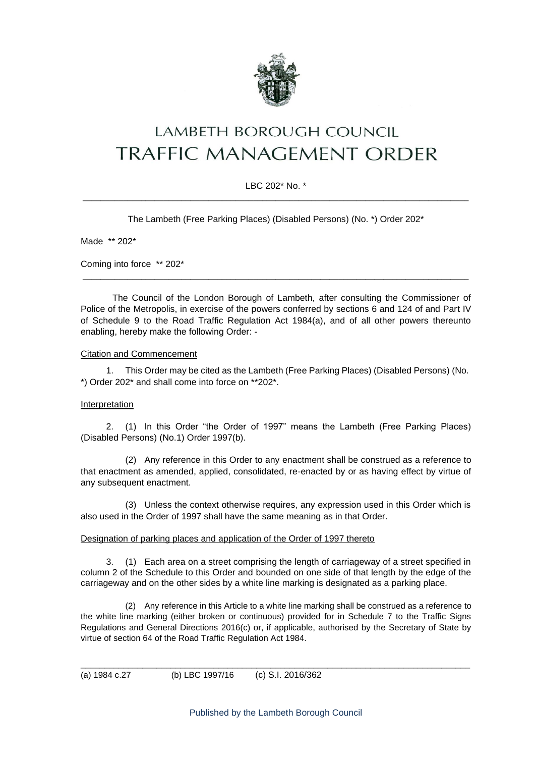

# **LAMBETH BOROUGH COUNCIL** TRAFFIC MANAGEMENT ORDER

### LBC 202\* No. \* \_\_\_\_\_\_\_\_\_\_\_\_\_\_\_\_\_\_\_\_\_\_\_\_\_\_\_\_\_\_\_\_\_\_\_\_\_\_\_\_\_\_\_\_\_\_\_\_\_\_\_\_\_\_\_\_\_\_\_\_\_\_\_\_\_\_\_\_\_\_\_\_\_\_\_\_\_\_\_\_\_\_\_\_\_\_

The Lambeth (Free Parking Places) (Disabled Persons) (No. \*) Order 202\*

Made \*\* 202\*

Coming into force \*\* 202\*

The Council of the London Borough of Lambeth, after consulting the Commissioner of Police of the Metropolis, in exercise of the powers conferred by sections 6 and 124 of and Part IV of Schedule 9 to the Road Traffic Regulation Act 1984(a), and of all other powers thereunto enabling, hereby make the following Order: -

\_\_\_\_\_\_\_\_\_\_\_\_\_\_\_\_\_\_\_\_\_\_\_\_\_\_\_\_\_\_\_\_\_\_\_\_\_\_\_\_\_\_\_\_\_\_\_\_\_\_\_\_\_\_\_\_\_\_\_\_\_\_\_\_\_\_\_\_\_\_\_\_\_\_\_\_\_\_\_\_\_\_\_\_\_\_

#### Citation and Commencement

1. This Order may be cited as the Lambeth (Free Parking Places) (Disabled Persons) (No. \*) Order 202\* and shall come into force on \*\*202\*.

#### Interpretation

2. (1) In this Order "the Order of 1997" means the Lambeth (Free Parking Places) (Disabled Persons) (No.1) Order 1997(b).

(2) Any reference in this Order to any enactment shall be construed as a reference to that enactment as amended, applied, consolidated, re-enacted by or as having effect by virtue of any subsequent enactment.

(3) Unless the context otherwise requires, any expression used in this Order which is also used in the Order of 1997 shall have the same meaning as in that Order.

#### Designation of parking places and application of the Order of 1997 thereto

3. (1) Each area on a street comprising the length of carriageway of a street specified in column 2 of the Schedule to this Order and bounded on one side of that length by the edge of the carriageway and on the other sides by a white line marking is designated as a parking place.

(2) Any reference in this Article to a white line marking shall be construed as a reference to the white line marking (either broken or continuous) provided for in Schedule 7 to the Traffic Signs Regulations and General Directions 2016(c) or, if applicable, authorised by the Secretary of State by virtue of section 64 of the Road Traffic Regulation Act 1984.

\_\_\_\_\_\_\_\_\_\_\_\_\_\_\_\_\_\_\_\_\_\_\_\_\_\_\_\_\_\_\_\_\_\_\_\_\_\_\_\_\_\_\_\_\_\_\_\_\_\_\_\_\_\_\_\_\_\_\_\_\_\_\_\_\_\_\_\_\_\_\_\_\_\_\_\_\_\_\_\_\_\_

(a) 1984 c.27 (b) LBC 1997/16 (c) S.I. 2016/362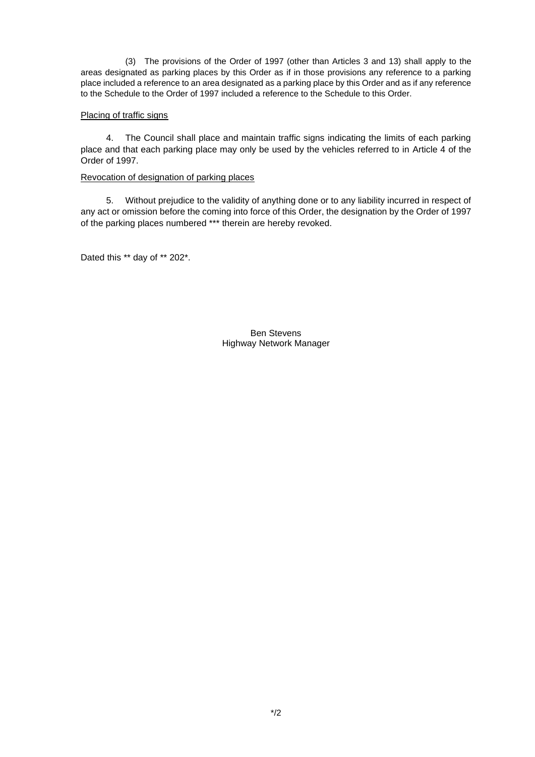(3) The provisions of the Order of 1997 (other than Articles 3 and 13) shall apply to the areas designated as parking places by this Order as if in those provisions any reference to a parking place included a reference to an area designated as a parking place by this Order and as if any reference to the Schedule to the Order of 1997 included a reference to the Schedule to this Order.

#### Placing of traffic signs

4. The Council shall place and maintain traffic signs indicating the limits of each parking place and that each parking place may only be used by the vehicles referred to in Article 4 of the Order of 1997.

#### Revocation of designation of parking places

5. Without prejudice to the validity of anything done or to any liability incurred in respect of any act or omission before the coming into force of this Order, the designation by the Order of 1997 of the parking places numbered \*\*\* therein are hereby revoked.

Dated this \*\* day of \*\* 202\*.

Ben Stevens Highway Network Manager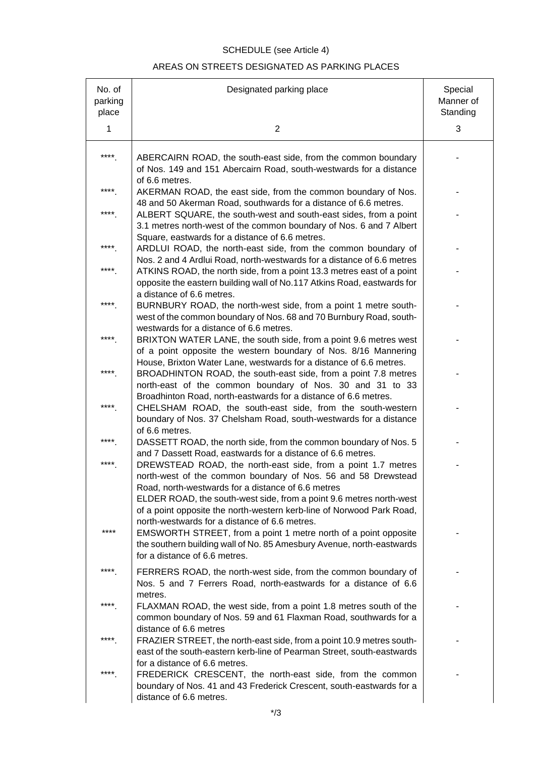# SCHEDULE (see Article 4)

## AREAS ON STREETS DESIGNATED AS PARKING PLACES

| No. of<br>parking<br>place | Designated parking place                                                                                                                                                                                                                                                                                               | Special<br>Manner of<br>Standing |
|----------------------------|------------------------------------------------------------------------------------------------------------------------------------------------------------------------------------------------------------------------------------------------------------------------------------------------------------------------|----------------------------------|
| 1                          | $\overline{2}$                                                                                                                                                                                                                                                                                                         | 3                                |
| ****                       | ABERCAIRN ROAD, the south-east side, from the common boundary<br>of Nos. 149 and 151 Abercairn Road, south-westwards for a distance<br>of 6.6 metres.                                                                                                                                                                  |                                  |
| ****                       | AKERMAN ROAD, the east side, from the common boundary of Nos.<br>48 and 50 Akerman Road, southwards for a distance of 6.6 metres.                                                                                                                                                                                      |                                  |
| ****                       | ALBERT SQUARE, the south-west and south-east sides, from a point<br>3.1 metres north-west of the common boundary of Nos. 6 and 7 Albert                                                                                                                                                                                |                                  |
| ****                       | Square, eastwards for a distance of 6.6 metres.<br>ARDLUI ROAD, the north-east side, from the common boundary of<br>Nos. 2 and 4 Ardlui Road, north-westwards for a distance of 6.6 metres                                                                                                                             |                                  |
| ****                       | ATKINS ROAD, the north side, from a point 13.3 metres east of a point<br>opposite the eastern building wall of No.117 Atkins Road, eastwards for                                                                                                                                                                       |                                  |
| ****                       | a distance of 6.6 metres.<br>BURNBURY ROAD, the north-west side, from a point 1 metre south-<br>west of the common boundary of Nos. 68 and 70 Burnbury Road, south-                                                                                                                                                    |                                  |
| ****                       | westwards for a distance of 6.6 metres.<br>BRIXTON WATER LANE, the south side, from a point 9.6 metres west<br>of a point opposite the western boundary of Nos. 8/16 Mannering                                                                                                                                         |                                  |
| ****                       | House, Brixton Water Lane, westwards for a distance of 6.6 metres.<br>BROADHINTON ROAD, the south-east side, from a point 7.8 metres<br>north-east of the common boundary of Nos. 30 and 31 to 33                                                                                                                      |                                  |
| ****                       | Broadhinton Road, north-eastwards for a distance of 6.6 metres.<br>CHELSHAM ROAD, the south-east side, from the south-western<br>boundary of Nos. 37 Chelsham Road, south-westwards for a distance                                                                                                                     |                                  |
| ****                       | of 6.6 metres.<br>DASSETT ROAD, the north side, from the common boundary of Nos. 5                                                                                                                                                                                                                                     |                                  |
| ****                       | and 7 Dassett Road, eastwards for a distance of 6.6 metres.<br>DREWSTEAD ROAD, the north-east side, from a point 1.7 metres<br>north-west of the common boundary of Nos. 56 and 58 Drewstead                                                                                                                           |                                  |
| ****                       | Road, north-westwards for a distance of 6.6 metres<br>ELDER ROAD, the south-west side, from a point 9.6 metres north-west<br>of a point opposite the north-western kerb-line of Norwood Park Road,<br>north-westwards for a distance of 6.6 metres.<br>EMSWORTH STREET, from a point 1 metre north of a point opposite |                                  |
|                            | the southern building wall of No. 85 Amesbury Avenue, north-eastwards<br>for a distance of 6.6 metres.                                                                                                                                                                                                                 |                                  |
| ****                       | FERRERS ROAD, the north-west side, from the common boundary of<br>Nos. 5 and 7 Ferrers Road, north-eastwards for a distance of 6.6                                                                                                                                                                                     |                                  |
| ****                       | metres.<br>FLAXMAN ROAD, the west side, from a point 1.8 metres south of the<br>common boundary of Nos. 59 and 61 Flaxman Road, southwards for a                                                                                                                                                                       |                                  |
| ****                       | distance of 6.6 metres<br>FRAZIER STREET, the north-east side, from a point 10.9 metres south-<br>east of the south-eastern kerb-line of Pearman Street, south-eastwards                                                                                                                                               |                                  |
| ****                       | for a distance of 6.6 metres.<br>FREDERICK CRESCENT, the north-east side, from the common<br>boundary of Nos. 41 and 43 Frederick Crescent, south-eastwards for a<br>distance of 6.6 metres.                                                                                                                           |                                  |